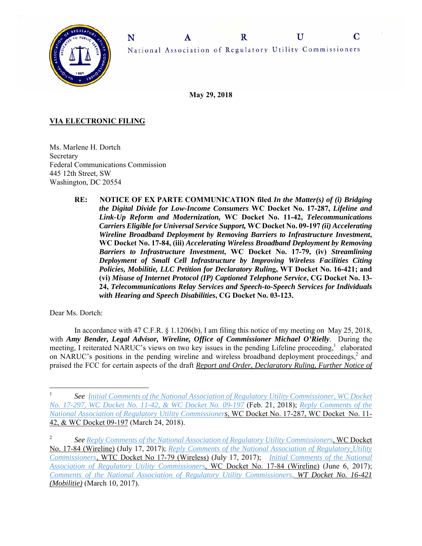

U C  $\mathbf R$ A National Association of Regulatory Utility Commissioners

**May 29, 2018** 

# **VIA ELECTRONIC FILING**

Ms. Marlene H. Dortch Secretary Federal Communications Commission 445 12th Street, SW Washington, DC 20554

> **RE: NOTICE OF EX PARTE COMMUNICATION filed** *In the Matter(s) of (i) Bridging the Digital Divide for Low-Income Consumers* **WC Docket No. 17-287,** *Lifeline and Link-Up Reform and Modernization,* **WC Docket No. 11-42,** *Telecommunications Carriers Eligible for Universal Service Support,* **WC Docket No. 09-197** *(ii) Accelerating Wireline Broadband Deployment by Removing Barriers to Infrastructure Investment***, WC Docket No. 17-84, (iii)** *Accelerating Wireless Broadband Deployment by Removing Barriers to Infrastructure Investment***, WC Docket No. 17-79, (iv)** *Streamlining Deployment of Small Cell Infrastructure by Improving Wireless Facilities Citing Policies, Mobilitie, LLC Petition for Declaratory Rulin***g, WT Docket No. 16-421; and (vi)** *Misuse of Internet Protocol (IP) Captioned Telephone Service***, CG Docket No. 13- 24,** *Telecommunications Relay Services and Speech-to-Speech Services for Individuals with Hearing and Speech Disabilities***, CG Docket No. 03-123.**

## Dear Ms. Dortch:

 $\overline{a}$ 

In accordance with 47 C.F.R.  $\S 1.1206(b)$ , I am filing this notice of my meeting on May 25, 2018, with *Amy Bender, Legal Advisor, Wireline, Office of Commissioner Michael O'Rielly*. During the meeting, I reiterated NARUC's views on two key issues in the pending Lifeline proceeding,<sup>1</sup> elaborated on NARUC's positions in the pending wireline and wireless broadband deployment proceedings,<sup>2</sup> and praised the FCC for certain aspects of the draft *Report and Order, Declaratory Ruling, Further Notice of* 

<sup>1</sup> *See Initial Comments of the National Association of Regulatory Utility Commissioner, WC Docket No. 17-297, WC Docket No. 11-42, & WC Docket No. 09-197* (Feb. 21, 2018); *Reply Comments of the National Association of Regulatory Utility Commissioners*, WC Docket No. 17-287, WC Docket No. 11- 42, & WC Docket 09-197 (March 24, 2018).

<sup>2</sup> *See Reply Comments of the National Association of Regulatory Utility Commissioners*, WC Docket No. 17-84 (Wireline) (July 17, 2017); *Reply Comments of the National Association of Regulatory Utility Commissioners*, WTC Docket No 17-79 (Wireless) (July 17, 2017); *Initial Comments of the National Association of Regulatory Utility Commissioners*, WC Docket No. 17-84 (Wireline) (June 6, 2017); *Comments of the National Association of Regulatory Utility Commissioners, WT Docket No. 16-421 (Mobilitie)* (March 10, 2017).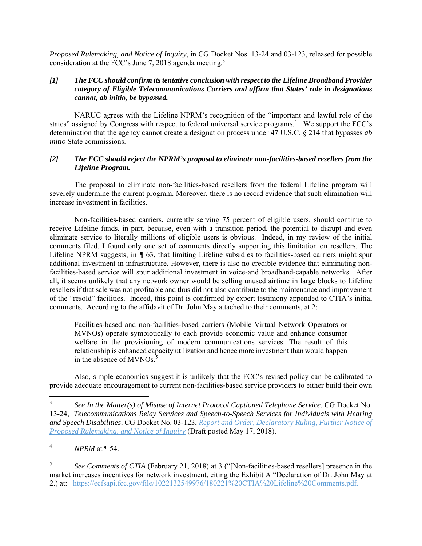*Proposed Rulemaking, and Notice of Inquiry*, in CG Docket Nos. 13-24 and 03-123, released for possible consideration at the FCC's June 7, 2018 agenda meeting.<sup>3</sup>

## *[1] The FCC should confirm its tentative conclusion with respect to the Lifeline Broadband Provider category of Eligible Telecommunications Carriers and affirm that States' role in designations cannot, ab initio, be bypassed.*

 NARUC agrees with the Lifeline NPRM's recognition of the "important and lawful role of the states" assigned by Congress with respect to federal universal service programs.<sup>4</sup> We support the FCC's determination that the agency cannot create a designation process under 47 U.S.C. § 214 that bypasses *ab initio* State commissions.

## *[2] The FCC should reject the NPRM's proposal to eliminate non-facilities-based resellers from the Lifeline Program.*

The proposal to eliminate non-facilities-based resellers from the federal Lifeline program will severely undermine the current program. Moreover, there is no record evidence that such elimination will increase investment in facilities.

Non-facilities-based carriers, currently serving 75 percent of eligible users, should continue to receive Lifeline funds, in part, because, even with a transition period, the potential to disrupt and even eliminate service to literally millions of eligible users is obvious. Indeed, in my review of the initial comments filed, I found only one set of comments directly supporting this limitation on resellers. The Lifeline NPRM suggests, in *¶* 63, that limiting Lifeline subsidies to facilities-based carriers might spur additional investment in infrastructure. However, there is also no credible evidence that eliminating nonfacilities-based service will spur additional investment in voice-and broadband-capable networks. After all, it seems unlikely that any network owner would be selling unused airtime in large blocks to Lifeline resellers if that sale was not profitable and thus did not also contribute to the maintenance and improvement of the "resold" facilities. Indeed, this point is confirmed by expert testimony appended to CTIA's initial comments. According to the affidavit of Dr. John May attached to their comments, at 2:

Facilities-based and non-facilities-based carriers (Mobile Virtual Network Operators or MVNOs) operate symbiotically to each provide economic value and enhance consumer welfare in the provisioning of modern communications services. The result of this relationship is enhanced capacity utilization and hence more investment than would happen in the absence of  $MVNOs.<sup>5</sup>$ 

Also, simple economics suggest it is unlikely that the FCC's revised policy can be calibrated to provide adequate encouragement to current non-facilities-based service providers to either build their own

 $\overline{a}$ 

5 *See Comments of CTIA* (February 21, 2018) at 3 ("[Non-facilities-based resellers] presence in the market increases incentives for network investment, citing the Exhibit A "Declaration of Dr. John May at 2.) at: https://ecfsapi.fcc.gov/file/1022132549976/180221%20CTIA%20Lifeline%20Comments.pdf.

<sup>3</sup> *See In the Matter(s) of Misuse of Internet Protocol Captioned Telephone Service*, CG Docket No. 13-24, *Telecommunications Relay Services and Speech-to-Speech Services for Individuals with Hearing and Speech Disabilities,* CG Docket No. 03-123, *Report and Order, Declaratory Ruling, Further Notice of Proposed Rulemaking, and Notice of Inquiry* (Draft posted May 17, 2018).

<sup>4</sup> *NPRM* at ¶ 54.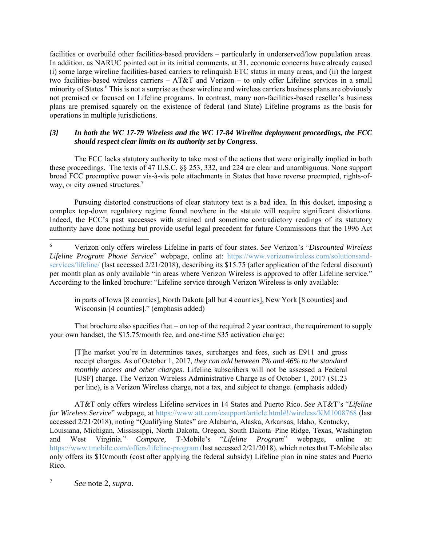facilities or overbuild other facilities-based providers – particularly in underserved/low population areas. In addition, as NARUC pointed out in its initial comments, at 31, economic concerns have already caused (i) some large wireline facilities-based carriers to relinquish ETC status in many areas, and (ii) the largest two facilities-based wireless carriers – AT&T and Verizon – to only offer Lifeline services in a small minority of States.<sup>6</sup> This is not a surprise as these wireline and wireless carriers business plans are obviously not premised or focused on Lifeline programs. In contrast, many non-facilities-based reseller's business plans are premised squarely on the existence of federal (and State) Lifeline programs as the basis for operations in multiple jurisdictions.

## *[3] In both the WC 17-79 Wireless and the WC 17-84 Wireline deployment proceedings, the FCC should respect clear limits on its authority set by Congress.*

 The FCC lacks statutory authority to take most of the actions that were originally implied in both these proceedings. The texts of 47 U.S.C. §§ 253, 332, and 224 are clear and unambiguous. None support broad FCC preemptive power vis-à-vis pole attachments in States that have reverse preempted, rights-ofway, or city owned structures.<sup>7</sup>

Pursuing distorted constructions of clear statutory text is a bad idea. In this docket, imposing a complex top-down regulatory regime found nowhere in the statute will require significant distortions. Indeed, the FCC's past successes with strained and sometime contradictory readings of its statutory authority have done nothing but provide useful legal precedent for future Commissions that the 1996 Act

in parts of Iowa [8 counties], North Dakota [all but 4 counties], New York [8 counties] and Wisconsin [4 counties]." (emphasis added)

That brochure also specifies that – on top of the required 2 year contract, the requirement to supply your own handset, the \$15.75/month fee, and one-time \$35 activation charge:

[T]he market you're in determines taxes, surcharges and fees, such as E911 and gross receipt charges. As of October 1, 2017*, they can add between 7% and 46% to the standard monthly access and other charges*. Lifeline subscribers will not be assessed a Federal [USF] charge. The Verizon Wireless Administrative Charge as of October 1, 2017 (\$1.23 per line), is a Verizon Wireless charge, not a tax, and subject to change. (emphasis added)

AT&T only offers wireless Lifeline services in 14 States and Puerto Rico. *See* AT&T's "*Lifeline for Wireless Service*" webpage, at https://www.att.com/esupport/article.html#!/wireless/KM1008768 (last accessed 2/21/2018), noting "Qualifying States" are Alabama, Alaska, Arkansas, Idaho, Kentucky, Louisiana, Michigan, Mississippi, North Dakota, Oregon, South Dakota–Pine Ridge, Texas, Washington and West Virginia." *Compare,* T-Mobile's "*Lifeline Program*" webpage, online at: https://www.tmobile.com/offers/lifeline-program (last accessed 2/21/2018), which notes that T-Mobile also only offers its \$10/month (cost after applying the federal subsidy) Lifeline plan in nine states and Puerto Rico.

7 *See* note 2, *supra*.

 $\overline{a}$ 

<sup>6</sup> Verizon only offers wireless Lifeline in parts of four states. *See* Verizon's "*Discounted Wireless Lifeline Program Phone Service*" webpage, online at: https://www.verizonwireless.com/solutionsandservices/lifeline/ (last accessed 2/21/2018), describing its \$15.75 (after application of the federal discount) per month plan as only available "in areas where Verizon Wireless is approved to offer Lifeline service." According to the linked brochure: "Lifeline service through Verizon Wireless is only available: